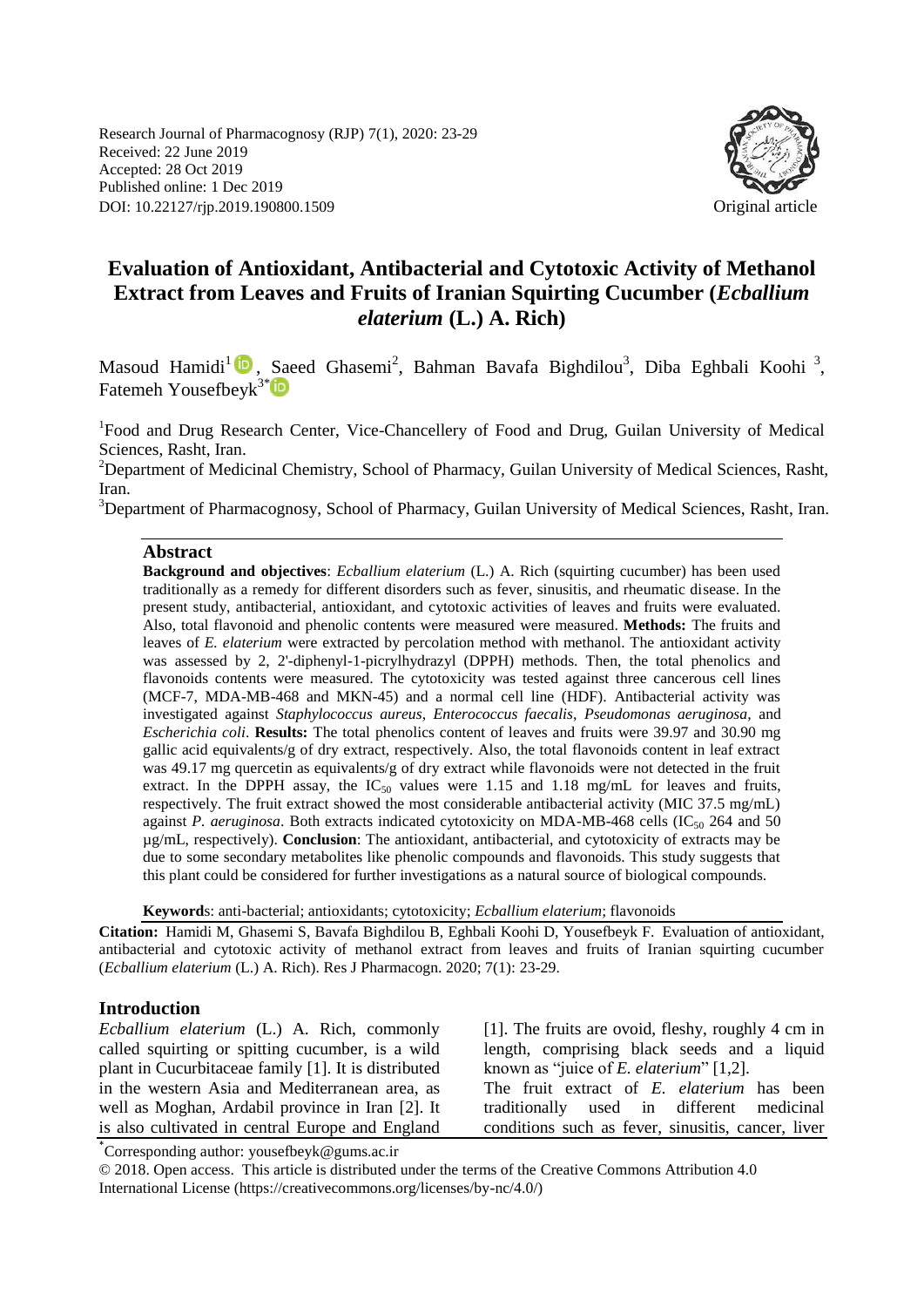Research Journal of Pharmacognosy (RJP) 7(1), 2020: 23-29 Received: 22 June 2019 Accepted: 28 Oct 2019 Published online: 1 Dec 2019 DOI: 10.22127/rjp.2019.190800.1509 Original article



# **Evaluation of Antioxidant, Antibacterial and Cytotoxic Activity of Methanol Extract from Leaves and Fruits of Iranian Squirting Cucumber (***Ecballium elaterium* **(L.) A. Rich)**

Masoud Hamidi<sup>1</sup> D, Saeed Ghasemi<sup>2</sup>, Bahman Bavafa Bighdilou<sup>3</sup>, Diba Eghbali Koohi<sup>3</sup>, Fatemeh Yousefbeyk<sup>3[\\*](https://orcid.org/0000-0002-2793-6445)</sup><sup>iD</sup>

<sup>1</sup>Food and Drug Research Center, Vice-Chancellery of Food and Drug, Guilan University of Medical Sciences, Rasht, Iran.

<sup>2</sup>Department of Medicinal Chemistry, School of Pharmacy, Guilan University of Medical Sciences, Rasht, Iran.

<sup>3</sup>Department of Pharmacognosy, School of Pharmacy, Guilan University of Medical Sciences, Rasht, Iran.

#### **Abstract**

**Background and objectives**: *Ecballium elaterium* (L.) A. Rich (squirting cucumber) has been used traditionally as a remedy for different disorders such as fever, sinusitis, and rheumatic disease. In the present study, antibacterial, antioxidant, and cytotoxic activities of leaves and fruits were evaluated. Also, total flavonoid and phenolic contents were measured were measured. **Methods:** The fruits and leaves of *E. elaterium* were extracted by percolation method with methanol. The antioxidant activity was assessed by 2, 2'-diphenyl-1-picrylhydrazyl (DPPH) methods. Then, the total phenolics and flavonoids contents were measured. The cytotoxicity was tested against three cancerous cell lines (MCF-7, MDA-MB-468 and MKN-45) and a normal cell line (HDF). Antibacterial activity was investigated against *Staphylococcus aureus*, *Enterococcus faecalis*, *Pseudomonas aeruginosa,* and *Escherichia coli*. **Results:** The total phenolics content of leaves and fruits were 39.97 and 30.90 mg gallic acid equivalents/g of dry extract, respectively. Also, the total flavonoids content in leaf extract was 49.17 mg quercetin as equivalents/g of dry extract while flavonoids were not detected in the fruit extract. In the DPPH assay, the  $IC_{50}$  values were 1.15 and 1.18 mg/mL for leaves and fruits, respectively. The fruit extract showed the most considerable antibacterial activity (MIC 37.5 mg/mL) against *P. aeruginosa*. Both extracts indicated cytotoxicity on MDA-MB-468 cells (IC<sub>50</sub> 264 and 50 µg/mL, respectively). **Conclusion**: The antioxidant, antibacterial, and cytotoxicity of extracts may be due to some secondary metabolites like phenolic compounds and flavonoids. This study suggests that this plant could be considered for further investigations as a natural source of biological compounds.

**Keyword**s: anti-bacterial; antioxidants; cytotoxicity; *Ecballium elaterium*; flavonoids

**Citation:** Hamidi M, Ghasemi S, Bavafa Bighdilou B, Eghbali Koohi D, Yousefbeyk F. Evaluation of antioxidant, antibacterial and cytotoxic activity of methanol extract from leaves and fruits of Iranian squirting cucumber (*Ecballium elaterium* (L.) A. Rich). Res J Pharmacogn. 2020; 7(1): 23-29.

#### **Introduction**

*Ecballium elaterium* (L.) A. Rich, commonly called squirting or spitting cucumber, is a wild plant in Cucurbitaceae family [1]. It is distributed in the western Asia and Mediterranean area, as well as Moghan, Ardabil province in Iran [2]. It is also cultivated in central Europe and England [1]. The fruits are ovoid, fleshy, roughly 4 cm in length, comprising black seeds and a liquid known as "juice of *E. elaterium*" [1,2]. The fruit extract of *E. elaterium* has been traditionally used in different medicinal conditions such as fever, sinusitis, cancer, liver

\* Corresponding author: yousefbeyk@gums.ac.ir

© 2018. Open access. This article is distributed under the terms of the Creative Commons Attribution 4.0 International License (https://creativecommons.org/licenses/by-nc/4.0/)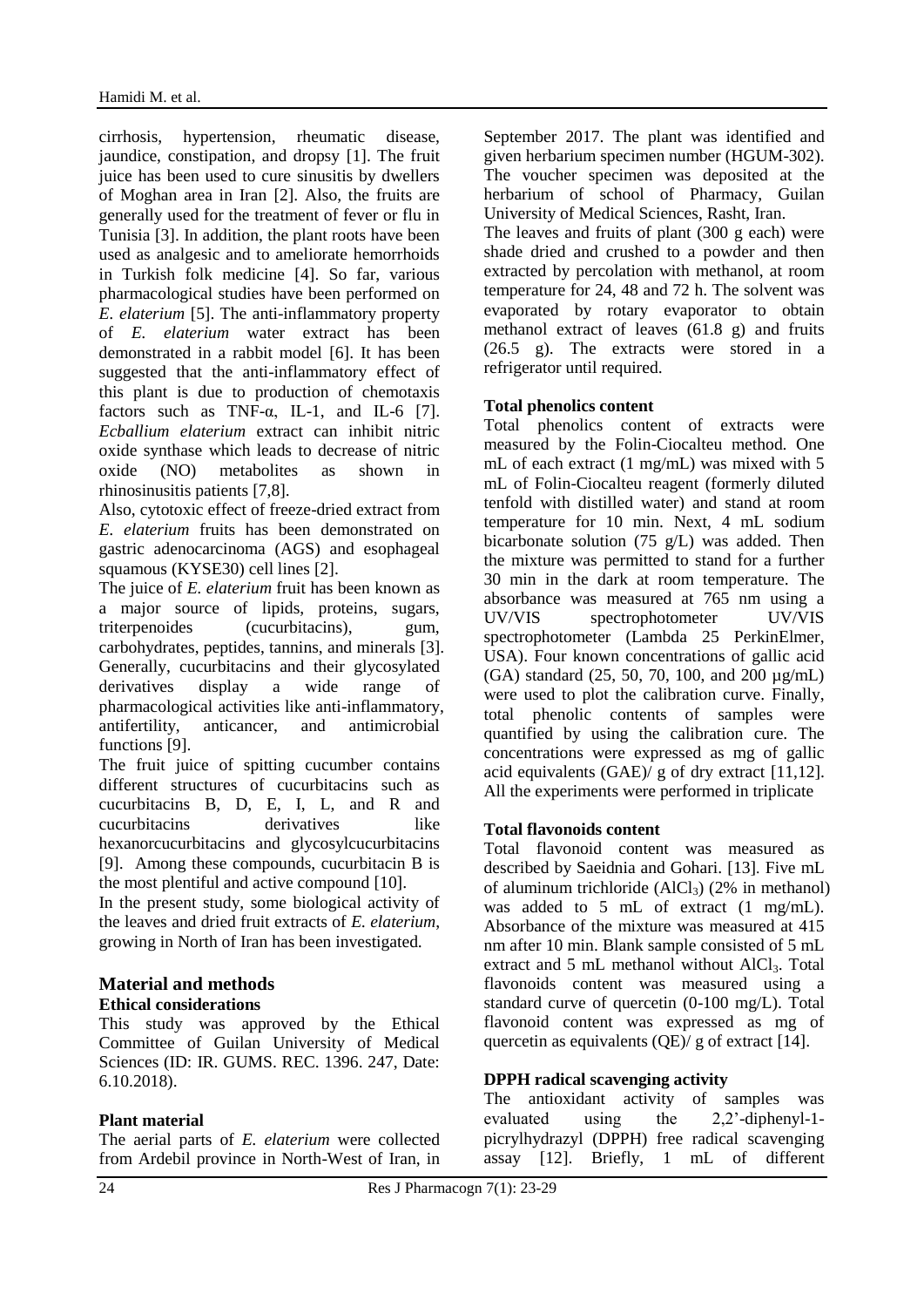cirrhosis, hypertension, rheumatic disease, jaundice, constipation, and dropsy [1]. The fruit juice has been used to cure sinusitis by dwellers of Moghan area in Iran [2]. Also, the fruits are generally used for the treatment of fever or flu in Tunisia [3]. In addition, the plant roots have been used as analgesic and to ameliorate hemorrhoids in Turkish folk medicine [4]. So far, various pharmacological studies have been performed on *E. elaterium* [5]. The anti-inflammatory property of *E. elaterium* water extract has been demonstrated in a rabbit model [6]. It has been suggested that the anti-inflammatory effect of this plant is due to production of chemotaxis factors such as TNF- $\alpha$ , IL-1, and IL-6 [7]. *Ecballium elaterium* extract can inhibit nitric oxide synthase which leads to decrease of nitric oxide (NO) metabolites as shown in rhinosinusitis patients [7,8].

Also, cytotoxic effect of freeze-dried extract from *E. elaterium* fruits has been demonstrated on gastric adenocarcinoma (AGS) and esophageal squamous (KYSE30) cell lines [2].

The juice of *E. elaterium* fruit has been known as a major source of lipids, proteins, sugars, triterpenoides (cucurbitacins), gum, carbohydrates, peptides, tannins, and minerals [3]. Generally, cucurbitacins and their glycosylated derivatives display a wide range of pharmacological activities like anti-inflammatory, antifertility, anticancer, and antimicrobial functions [9].

The fruit juice of spitting cucumber contains different structures of cucurbitacins such as cucurbitacins B, D, E, I, L, and R and cucurbitacins derivatives like hexanorcucurbitacins and glycosylcucurbitacins [9]. Among these compounds, cucurbitacin B is the most plentiful and active compound [10].

In the present study, some biological activity of the leaves and dried fruit extracts of *E. elaterium*, growing in North of Iran has been investigated.

# **Material and methods**

**Ethical considerations** This study was approved by the Ethical Committee of Guilan University of Medical Sciences (ID: IR. GUMS. REC. 1396. 247, Date: 6.10.2018).

# **Plant material**

The aerial parts of *E. elaterium* were collected from Ardebil province in North-West of Iran, in September 2017. The plant was identified and given herbarium specimen number (HGUM-302). The voucher specimen was deposited at the herbarium of school of Pharmacy, Guilan University of Medical Sciences, Rasht, Iran.

The leaves and fruits of plant (300 g each) were shade dried and crushed to a powder and then extracted by percolation with methanol, at room temperature for 24, 48 and 72 h. The solvent was evaporated by rotary evaporator to obtain methanol extract of leaves (61.8 g) and fruits (26.5 g). The extracts were stored in a refrigerator until required.

#### **Total phenolics content**

Total phenolics content of extracts were measured by the Folin-Ciocalteu method. One mL of each extract (1 mg/mL) was mixed with 5 mL of Folin-Ciocalteu reagent (formerly diluted tenfold with distilled water) and stand at room temperature for 10 min. Next, 4 mL sodium bicarbonate solution (75 g/L) was added. Then the mixture was permitted to stand for a further 30 min in the dark at room temperature. The absorbance was measured at 765 nm using a UV/VIS spectrophotometer UV/VIS spectrophotometer (Lambda 25 PerkinElmer, USA). Four known concentrations of gallic acid (GA) standard (25, 50, 70, 100, and 200 µg/mL) were used to plot the calibration curve. Finally, total phenolic contents of samples were quantified by using the calibration cure. The concentrations were expressed as mg of gallic acid equivalents  $(GAE)/g$  of dry extract [11,12]. All the experiments were performed in triplicate

#### **Total flavonoids content**

Total flavonoid content was measured as described by Saeidnia and Gohari. [13]. Five mL of aluminum trichloride  $(AlCl<sub>3</sub>)$  (2% in methanol) was added to 5 mL of extract (1 mg/mL). Absorbance of the mixture was measured at 415 nm after 10 min. Blank sample consisted of 5 mL extract and 5 mL methanol without AlCl<sub>3</sub>. Total flavonoids content was measured using a standard curve of quercetin (0-100 mg/L). Total flavonoid content was expressed as mg of quercetin as equivalents (QE)/ g of extract [14].

# **DPPH radical scavenging activity**

The antioxidant activity of samples was evaluated using the 2,2'-diphenyl-1 picrylhydrazyl (DPPH) free radical scavenging assay [12]. Briefly, 1 mL of different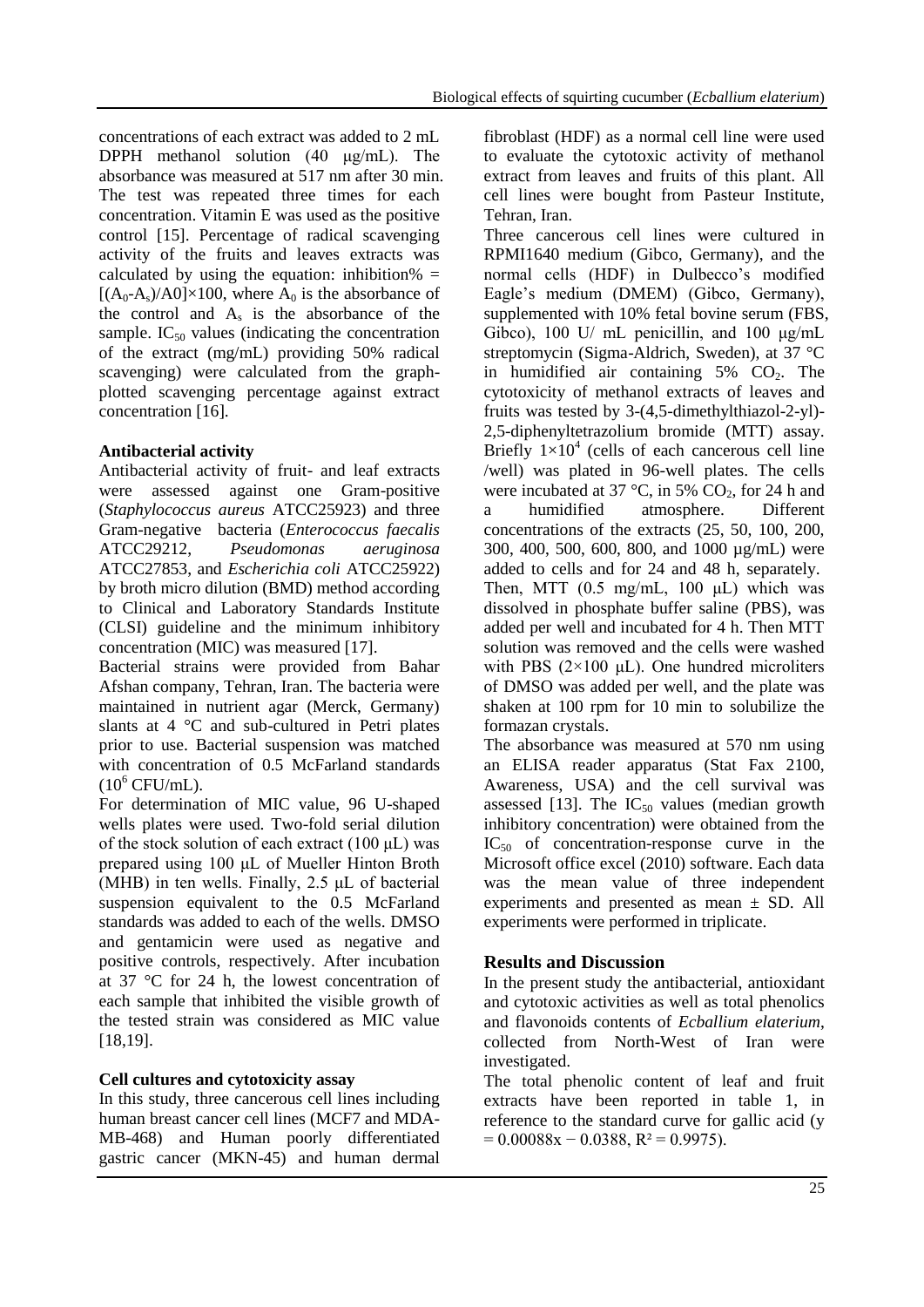concentrations of each extract was added to 2 mL DPPH methanol solution (40 μg/mL). The absorbance was measured at 517 nm after 30 min. The test was repeated three times for each concentration. Vitamin E was used as the positive control [15]. Percentage of radical scavenging activity of the fruits and leaves extracts was calculated by using the equation: inhibition%  $=$  $[(A_0-A_s)/A0] \times 100$ , where  $A_0$  is the absorbance of the control and  $A_s$  is the absorbance of the sample.  $IC_{50}$  values (indicating the concentration of the extract (mg/mL) providing 50% radical scavenging) were calculated from the graphplotted scavenging percentage against extract concentration [16].

# **Antibacterial activity**

Antibacterial activity of fruit- and leaf extracts were assessed against one Gram-positive (*Staphylococcus aureus* ATCC25923) and three Gram-negative bacteria (*Enterococcus faecalis* ATCC29212, *Pseudomonas aeruginosa* ATCC27853, and *Escherichia coli* ATCC25922) by broth micro dilution (BMD) method according to Clinical and Laboratory Standards Institute (CLSI) guideline and the minimum inhibitory concentration (MIC) was measured [17].

Bacterial strains were provided from Bahar Afshan company, Tehran, Iran. The bacteria were maintained in nutrient agar (Merck, Germany) slants at 4 °C and sub-cultured in Petri plates prior to use. Bacterial suspension was matched with concentration of 0.5 McFarland standards  $(10^6$  CFU/mL).

For determination of MIC value, 96 U-shaped wells plates were used. Two-fold serial dilution of the stock solution of each extract  $(100 \mu L)$  was prepared using 100 μL of Mueller Hinton Broth (MHB) in ten wells. Finally,  $2.5 \mu L$  of bacterial suspension equivalent to the 0.5 McFarland standards was added to each of the wells. DMSO and gentamicin were used as negative and positive controls, respectively. After incubation at 37 °C for 24 h, the lowest concentration of each sample that inhibited the visible growth of the tested strain was considered as MIC value [18,19].

# **Cell cultures and cytotoxicity assay**

In this study, three cancerous cell lines including human breast cancer cell lines (MCF7 and MDA-MB-468) and Human poorly differentiated gastric cancer (MKN-45) and human dermal

fibroblast (HDF) as a normal cell line were used to evaluate the cytotoxic activity of methanol extract from leaves and fruits of this plant. All cell lines were bought from Pasteur Institute, Tehran, Iran.

Three cancerous cell lines were cultured in RPMI1640 medium (Gibco, Germany), and the normal cells (HDF) in Dulbecco's modified Eagle's medium (DMEM) (Gibco, Germany), supplemented with 10% fetal bovine serum (FBS, Gibco), 100 U/ mL penicillin, and 100 μg/mL streptomycin (Sigma-Aldrich, Sweden), at 37 °C in humidified air containing  $5\%$  CO<sub>2</sub>. The cytotoxicity of methanol extracts of leaves and fruits was tested by 3-(4,5-dimethylthiazol-2-yl)- 2,5-diphenyltetrazolium bromide (MTT) assay. Briefly  $1\times10^4$  (cells of each cancerous cell line /well) was plated in 96-well plates. The cells were incubated at 37  $\degree$ C, in 5% CO<sub>2</sub>, for 24 h and a humidified atmosphere. Different concentrations of the extracts (25, 50, 100, 200, 300, 400, 500, 600, 800, and 1000 µg/mL) were added to cells and for 24 and 48 h, separately. Then, MTT (0.5 mg/mL, 100 μL) which was dissolved in phosphate buffer saline (PBS), was added per well and incubated for 4 h. Then MTT solution was removed and the cells were washed with PBS  $(2\times100 \text{ }\mu\text{L})$ . One hundred microliters of DMSO was added per well, and the plate was shaken at 100 rpm for 10 min to solubilize the formazan crystals.

The absorbance was measured at 570 nm using an ELISA reader apparatus (Stat Fax 2100, Awareness, USA) and the cell survival was assessed [13]. The  $IC_{50}$  values (median growth inhibitory concentration) were obtained from the  $IC_{50}$  of concentration-response curve in the Microsoft office excel (2010) software. Each data was the mean value of three independent experiments and presented as mean  $\pm$  SD. All experiments were performed in triplicate.

# **Results and Discussion**

In the present study the antibacterial, antioxidant and cytotoxic activities as well as total phenolics and flavonoids contents of *Ecballium elaterium*, collected from North-West of Iran were investigated.

The total phenolic content of leaf and fruit extracts have been reported in table 1, in reference to the standard curve for gallic acid (y  $= 0.00088x - 0.0388$ ,  $R^2 = 0.9975$ ).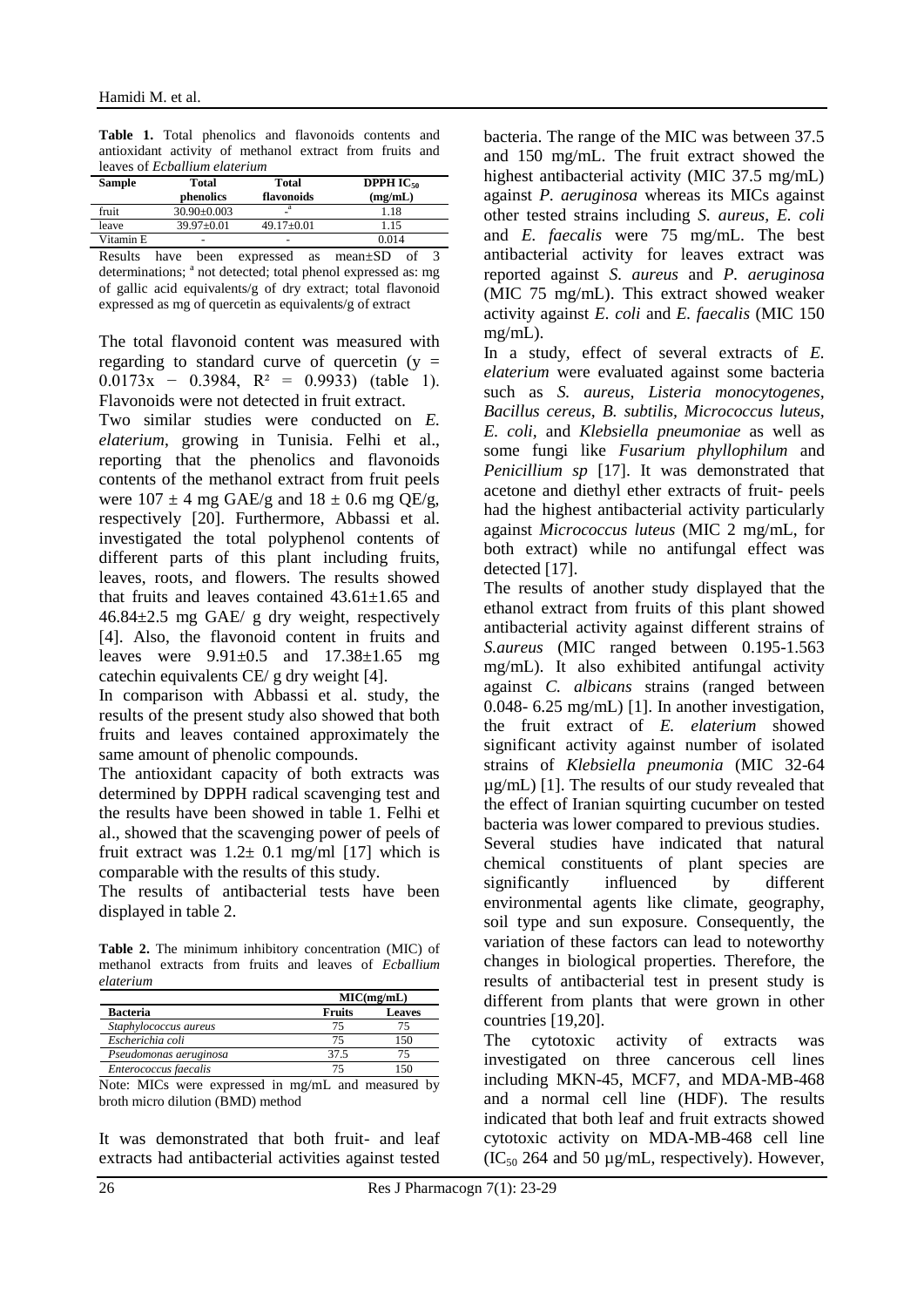**Table 1.** Total phenolics and flavonoids contents and antioxidant activity of methanol extract from fruits and leaves of *Ecballium elaterium*

| <b>Sample</b> | Total<br>phenolics | Total<br>flavonoids | <b>DPPH IC<sub>50</sub></b><br>(mg/mL) |
|---------------|--------------------|---------------------|----------------------------------------|
| fruit         | $30.90 \pm 0.003$  | a                   | 1.18                                   |
| leave         | $39.97 \pm 0.01$   | $49.17 \pm 0.01$    | l.15                                   |
| Vitamin E     |                    |                     | 0.014                                  |

Results have been expressed as mean±SD of 3 determinations; <sup>a</sup> not detected; total phenol expressed as: mg of gallic acid equivalents/g of dry extract; total flavonoid expressed as mg of quercetin as equivalents/g of extract

The total flavonoid content was measured with regarding to standard curve of quercetin  $(y =$  $0.0173x - 0.3984$ ,  $R^2 = 0.9933$  (table 1). Flavonoids were not detected in fruit extract.

Two similar studies were conducted on *E. elaterium*, growing in Tunisia. Felhi et al., reporting that the phenolics and flavonoids contents of the methanol extract from fruit peels were  $107 \pm 4$  mg GAE/g and  $18 \pm 0.6$  mg QE/g, respectively [20]. Furthermore, Abbassi et al. investigated the total polyphenol contents of different parts of this plant including fruits, leaves, roots, and flowers. The results showed that fruits and leaves contained  $43.61 \pm 1.65$  and 46.84±2.5 mg GAE/ g dry weight, respectively [4]. Also, the flavonoid content in fruits and leaves were 9.91±0.5 and 17.38±1.65 mg catechin equivalents CE/ g dry weight [4].

In comparison with Abbassi et al. study, the results of the present study also showed that both fruits and leaves contained approximately the same amount of phenolic compounds.

The antioxidant capacity of both extracts was determined by DPPH radical scavenging test and the results have been showed in table 1. Felhi et al., showed that the scavenging power of peels of fruit extract was  $1.2 \pm 0.1$  mg/ml [17] which is comparable with the results of this study.

The results of antibacterial tests have been displayed in table 2.

**Table 2.** The minimum inhibitory concentration (MIC) of methanol extracts from fruits and leaves of *Ecballium elaterium*

|                        | MIC(mg/mL) |               |  |
|------------------------|------------|---------------|--|
| <b>Bacteria</b>        | Fruits     | <b>Leaves</b> |  |
| Staphylococcus aureus  | 75         |               |  |
| Escherichia coli       | 75         | 150           |  |
| Pseudomonas aeruginosa | 37.5       |               |  |
| Enterococcus faecalis  |            |               |  |

Note: MICs were expressed in mg/mL and measured by broth micro dilution (BMD) method

It was demonstrated that both fruit- and leaf extracts had antibacterial activities against tested bacteria. The range of the MIC was between 37.5 and 150 mg/mL. The fruit extract showed the highest antibacterial activity (MIC 37.5 mg/mL) against *P. aeruginosa* whereas its MICs against other tested strains including *S. aureus, E. coli*  and *E. faecalis* were 75 mg/mL. The best antibacterial activity for leaves extract was reported against *S. aureus* and *P. aeruginosa*  (MIC 75 mg/mL). This extract showed weaker activity against *E. coli* and *E. faecalis* (MIC 150 mg/mL).

In a study, effect of several extracts of *E. elaterium* were evaluated against some bacteria such as *S. aureus, Listeria monocytogenes, Bacillus cereus, B. subtilis, Micrococcus luteus, E. coli,* and *Klebsiella pneumoniae* as well as some fungi like *Fusarium phyllophilum* and *Penicillium sp* [17]. It was demonstrated that acetone and diethyl ether extracts of fruit- peels had the highest antibacterial activity particularly against *Micrococcus luteus* (MIC 2 mg/mL, for both extract) while no antifungal effect was detected [17].

The results of another study displayed that the ethanol extract from fruits of this plant showed antibacterial activity against different strains of *S.aureus* (MIC ranged between 0.195-1.563 mg/mL). It also exhibited antifungal activity against *C. albicans* strains (ranged between 0.048- 6.25 mg/mL) [1]. In another investigation, the fruit extract of *E. elaterium* showed significant activity against number of isolated strains of *Klebsiella pneumonia* (MIC 32-64 µg/mL) [1]. The results of our study revealed that the effect of Iranian squirting cucumber on tested bacteria was lower compared to previous studies. Several studies have indicated that natural chemical constituents of plant species are significantly influenced by different environmental agents like climate, geography, soil type and sun exposure. Consequently, the variation of these factors can lead to noteworthy changes in biological properties. Therefore, the results of antibacterial test in present study is different from plants that were grown in other countries [19,20].

The cytotoxic activity of extracts was investigated on three cancerous cell lines including MKN-45, MCF7, and MDA-MB-468 and a normal cell line (HDF). The results indicated that both leaf and fruit extracts showed cytotoxic activity on MDA-MB-468 cell line  $(IC_{50} 264$  and 50 µg/mL, respectively). However,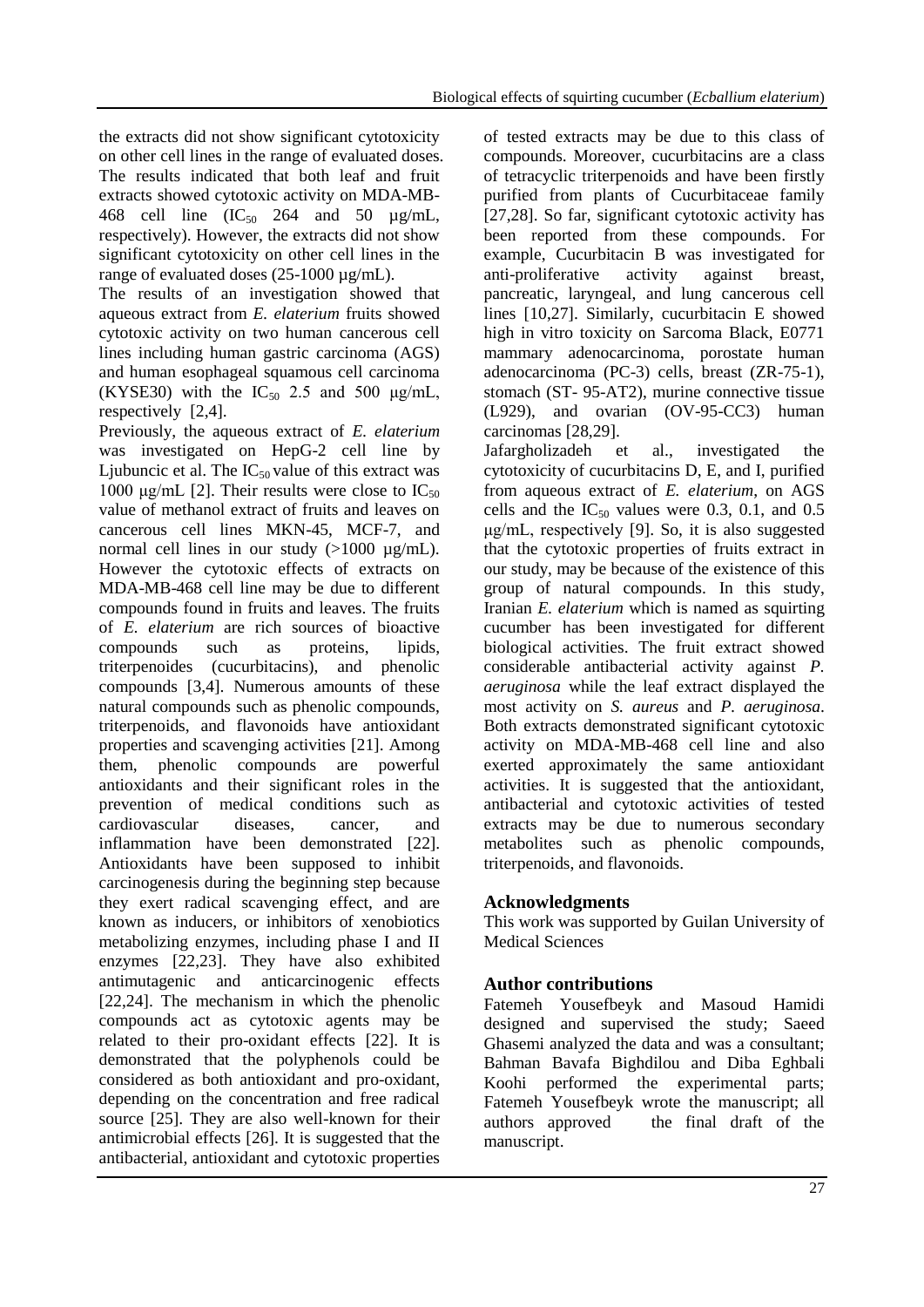the extracts did not show significant cytotoxicity on other cell lines in the range of evaluated doses. The results indicated that both leaf and fruit extracts showed cytotoxic activity on MDA-MB-468 cell line  $(IC_{50}$  264 and 50  $\mu$ g/mL, respectively). However, the extracts did not show significant cytotoxicity on other cell lines in the range of evaluated doses (25-1000 µg/mL).

The results of an investigation showed that aqueous extract from *E. elaterium* fruits showed cytotoxic activity on two human cancerous cell lines including human gastric carcinoma (AGS) and human esophageal squamous cell carcinoma  $(KYSE30)$  with the  $IC_{50}$  2.5 and 500  $\mu$ g/mL, respectively [2,4].

Previously, the aqueous extract of *E. elaterium* was investigated on HepG-2 cell line by Ljubuncic et al. The  $IC_{50}$  value of this extract was 1000 μg/mL [2]. Their results were close to IC<sub>50</sub> value of methanol extract of fruits and leaves on cancerous cell lines MKN-45, MCF-7, and normal cell lines in our study  $(>1000 \text{ µg/mL})$ . However the cytotoxic effects of extracts on MDA-MB-468 cell line may be due to different compounds found in fruits and leaves. The fruits of *E. elaterium* are rich sources of bioactive compounds such as proteins, lipids, triterpenoides (cucurbitacins), and phenolic compounds [3,4]. Numerous amounts of these natural compounds such as phenolic compounds, triterpenoids, and flavonoids have antioxidant properties and scavenging activities [21]. Among them, phenolic compounds are powerful antioxidants and their significant roles in the prevention of medical conditions such as cardiovascular diseases, cancer, and inflammation have been demonstrated [22]. Antioxidants have been supposed to inhibit carcinogenesis during the beginning step because they exert radical scavenging effect, and are known as inducers, or inhibitors of xenobiotics metabolizing enzymes, including phase I and II enzymes [22,23]. They have also exhibited antimutagenic and anticarcinogenic effects [22,24]. The mechanism in which the phenolic compounds act as cytotoxic agents may be related to their pro-oxidant effects [22]. It is demonstrated that the polyphenols could be considered as both antioxidant and pro-oxidant, depending on the concentration and free radical source [25]. They are also well-known for their antimicrobial effects [26]. It is suggested that the antibacterial, antioxidant and cytotoxic properties

of tested extracts may be due to this class of compounds. Moreover, cucurbitacins are a class of tetracyclic triterpenoids and have been firstly purified from plants of Cucurbitaceae family [27,28]. So far, significant cytotoxic activity has been reported from these compounds. For example, Cucurbitacin B was investigated for anti-proliferative activity against breast, pancreatic, laryngeal, and lung cancerous cell lines [10,27]. Similarly, cucurbitacin E showed high in vitro toxicity on Sarcoma Black, E0771 mammary adenocarcinoma, porostate human adenocarcinoma (PC-3) cells, breast (ZR-75-1), stomach (ST- 95-AT2), murine connective tissue (L929), and ovarian (OV-95-CC3) human carcinomas [28,29].

Jafargholizadeh et al., investigated the cytotoxicity of cucurbitacins D, E, and I, purified from aqueous extract of *E. elaterium*, on AGS cells and the  $IC_{50}$  values were 0.3, 0.1, and 0.5 μg/mL, respectively [9]. So, it is also suggested that the cytotoxic properties of fruits extract in our study, may be because of the existence of this group of natural compounds. In this study, Iranian *E. elaterium* which is named as squirting cucumber has been investigated for different biological activities. The fruit extract showed considerable antibacterial activity against *P. aeruginosa* while the leaf extract displayed the most activity on *S. aureus* and *P. aeruginosa*. Both extracts demonstrated significant cytotoxic activity on MDA-MB-468 cell line and also exerted approximately the same antioxidant activities. It is suggested that the antioxidant, antibacterial and cytotoxic activities of tested extracts may be due to numerous secondary metabolites such as phenolic compounds, triterpenoids, and flavonoids.

# **Acknowledgments**

This work was supported by Guilan University of Medical Sciences

# **Author contributions**

Fatemeh Yousefbeyk and Masoud Hamidi designed and supervised the study; Saeed Ghasemi analyzed the data and was a consultant; Bahman Bavafa Bighdilou and Diba Eghbali Koohi performed the experimental parts; Fatemeh Yousefbeyk wrote the manuscript; all authors approved the final draft of the manuscript.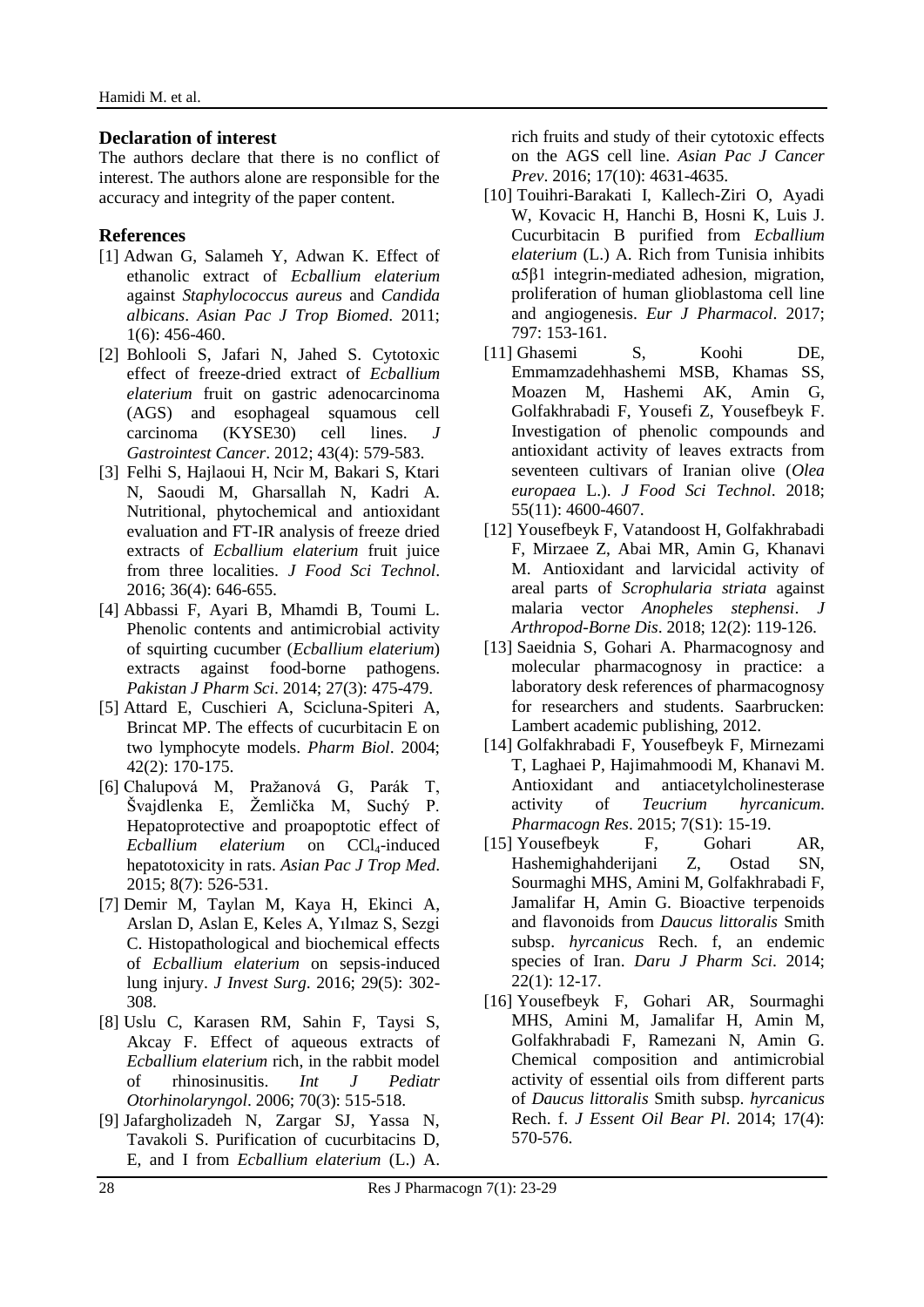#### **Declaration of interest**

The authors declare that there is no conflict of interest. The authors alone are responsible for the accuracy and integrity of the paper content.

#### **References**

- [1] Adwan G, Salameh Y, Adwan K. Effect of ethanolic extract of *Ecballium elaterium*  against *Staphylococcus aureus* and *Candida albicans*. *Asian Pac J Trop Biomed*. 2011; 1(6): 456-460.
- [2] Bohlooli S, Jafari N, Jahed S. Cytotoxic effect of freeze-dried extract of *Ecballium elaterium* fruit on gastric adenocarcinoma (AGS) and esophageal squamous cell carcinoma (KYSE30) cell lines. *J Gastrointest Cancer*. 2012; 43(4): 579-583.
- [3] Felhi S, Hajlaoui H, Ncir M, Bakari S, Ktari N, Saoudi M, Gharsallah N, Kadri A. Nutritional, phytochemical and antioxidant evaluation and FT-IR analysis of freeze dried extracts of *Ecballium elaterium* fruit juice from three localities. *J Food Sci Technol*. 2016; 36(4): 646-655.
- [4] Abbassi F, Ayari B, Mhamdi B, Toumi L. Phenolic contents and antimicrobial activity of squirting cucumber (*Ecballium elaterium*) extracts against food-borne pathogens. *Pakistan J Pharm Sci*. 2014; 27(3): 475-479.
- [5] Attard E, Cuschieri A, Scicluna-Spiteri A, Brincat MP. The effects of cucurbitacin E on two lymphocyte models. *Pharm Biol*. 2004; 42(2): 170-175.
- [6] Chalupová M, Pražanová G, Parák T, Švajdlenka E, Žemlička M, Suchý P. Hepatoprotective and proapoptotic effect of *Ecballium elaterium* on CCl<sub>4</sub>-induced hepatotoxicity in rats. *Asian Pac J Trop Med*. 2015; 8(7): 526-531.
- [7] Demir M, Taylan M, Kaya H, Ekinci A, Arslan D, Aslan E, Keles A, Yılmaz S, Sezgi C. Histopathological and biochemical effects of *Ecballium elaterium* on sepsis-induced lung injury. *J Invest Surg*. 2016; 29(5): 302- 308.
- [8] Uslu C, Karasen RM, Sahin F, Taysi S, Akcay F. Effect of aqueous extracts of *Ecballium elaterium* rich, in the rabbit model of rhinosinusitis. *Int J Pediatr Otorhinolaryngol*. 2006; 70(3): 515-518.
- [9] Jafargholizadeh N, Zargar SJ, Yassa N, Tavakoli S. Purification of cucurbitacins D, E, and I from *Ecballium elaterium* (L.) A.

rich fruits and study of their cytotoxic effects on the AGS cell line. *Asian Pac J Cancer Prev*. 2016; 17(10): 4631-4635.

- [10] Touihri-Barakati I, Kallech-Ziri O, Ayadi W, Kovacic H, Hanchi B, Hosni K, Luis J. Cucurbitacin B purified from *Ecballium elaterium* (L.) A. Rich from Tunisia inhibits α5β1 integrin-mediated adhesion, migration, proliferation of human glioblastoma cell line and angiogenesis. *Eur J Pharmacol*. 2017; 797: 153-161.
- [11] Ghasemi S, Koohi DE, Emmamzadehhashemi MSB, Khamas SS, Moazen M, Hashemi AK, Amin G, Golfakhrabadi F, Yousefi Z, Yousefbeyk F. Investigation of phenolic compounds and antioxidant activity of leaves extracts from seventeen cultivars of Iranian olive (*Olea europaea* L.). *J Food Sci Technol*. 2018; 55(11): 4600-4607.
- [12] Yousefbeyk F, Vatandoost H, Golfakhrabadi F, Mirzaee Z, Abai MR, Amin G, Khanavi M. Antioxidant and larvicidal activity of areal parts of *Scrophularia striata* against malaria vector *Anopheles stephensi*. *J Arthropod-Borne Dis*. 2018; 12(2): 119-126.
- [13] Saeidnia S, Gohari A. Pharmacognosy and molecular pharmacognosy in practice: a laboratory desk references of pharmacognosy for researchers and students. Saarbrucken: Lambert academic publishing, 2012.
- [14] Golfakhrabadi F, Yousefbeyk F, Mirnezami T, Laghaei P, Hajimahmoodi M, Khanavi M. Antioxidant and antiacetylcholinesterase activity of *Teucrium hyrcanicum*. *Pharmacogn Res*. 2015; 7(S1): 15-19.
- [15] Yousefbeyk F, Gohari AR, Hashemighahderijani Z, Ostad SN, Sourmaghi MHS, Amini M, Golfakhrabadi F, Jamalifar H, Amin G. Bioactive terpenoids and flavonoids from *Daucus littoralis* Smith subsp. *hyrcanicus* Rech. f, an endemic species of Iran. *Daru J Pharm Sci*. 2014; 22(1): 12-17.
- [16] Yousefbeyk F, Gohari AR, Sourmaghi MHS, Amini M, Jamalifar H, Amin M, Golfakhrabadi F, Ramezani N, Amin G. Chemical composition and antimicrobial activity of essential oils from different parts of *Daucus littoralis* Smith subsp. *hyrcanicus* Rech. f. *J Essent Oil Bear Pl*. 2014; 17(4): 570-576.